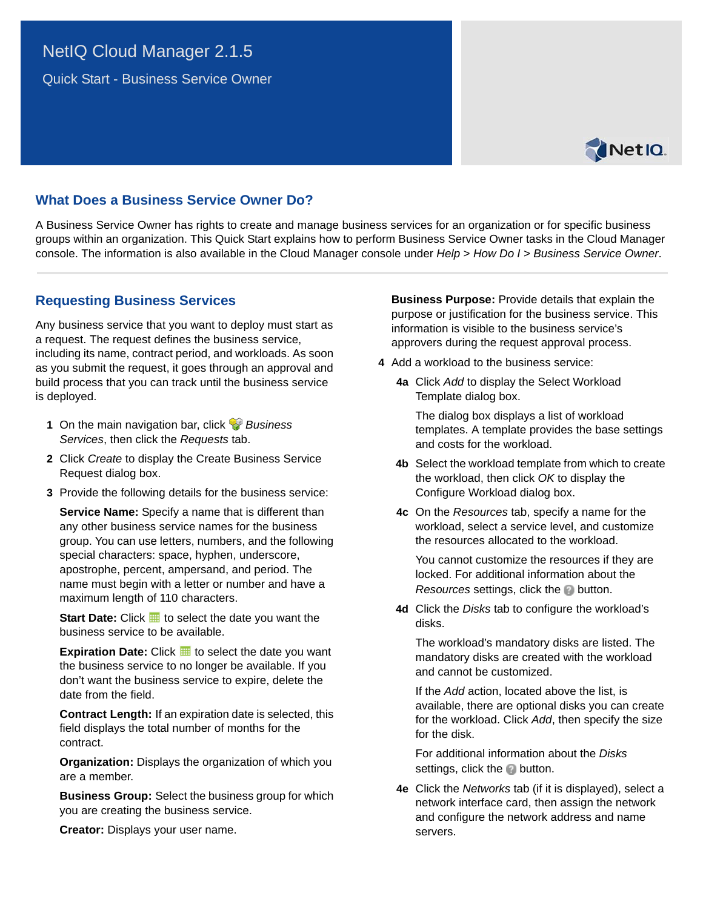# NetIQ Cloud Manager 2.1.5

Quick Start - Business Service Owner



# **What Does a Business Service Owner Do?**

A Business Service Owner has rights to create and manage business services for an organization or for specific business groups within an organization. This Quick Start explains how to perform Business Service Owner tasks in the Cloud Manager console. The information is also available in the Cloud Manager console under *Help* > *How Do I* > *Business Service Owner*.

### **Requesting Business Services**

Any business service that you want to deploy must start as a request. The request defines the business service, including its name, contract period, and workloads. As soon as you submit the request, it goes through an approval and build process that you can track until the business service is deployed.

- **1** On the main navigation bar, click *Business Services*, then click the *Requests* tab.
- **2** Click *Create* to display the Create Business Service Request dialog box.
- **3** Provide the following details for the business service:

**Service Name:** Specify a name that is different than any other business service names for the business group. You can use letters, numbers, and the following special characters: space, hyphen, underscore, apostrophe, percent, ampersand, and period. The name must begin with a letter or number and have a maximum length of 110 characters.

**Start Date:** Click **the** to select the date you want the business service to be available.

**Expiration Date:** Click **H** to select the date you want the business service to no longer be available. If you don't want the business service to expire, delete the date from the field.

**Contract Length:** If an expiration date is selected, this field displays the total number of months for the contract.

**Organization:** Displays the organization of which you are a member.

**Business Group:** Select the business group for which you are creating the business service.

**Creator:** Displays your user name.

**Business Purpose:** Provide details that explain the purpose or justification for the business service. This information is visible to the business service's approvers during the request approval process.

- <span id="page-0-0"></span>**4** Add a workload to the business service:
	- **4a** Click *Add* to display the Select Workload Template dialog box.

The dialog box displays a list of workload templates. A template provides the base settings and costs for the workload.

- **4b** Select the workload template from which to create the workload, then click *OK* to display the Configure Workload dialog box.
- **4c** On the *Resources* tab, specify a name for the workload, select a service level, and customize the resources allocated to the workload.

You cannot customize the resources if they are locked. For additional information about the *Resources* settings, click the **button**.

**4d** Click the *Disks* tab to configure the workload's disks.

The workload's mandatory disks are listed. The mandatory disks are created with the workload and cannot be customized.

If the *Add* action, located above the list, is available, there are optional disks you can create for the workload. Click *Add*, then specify the size for the disk.

For additional information about the *Disks* settings, click the **button**.

**4e** Click the *Networks* tab (if it is displayed), select a network interface card, then assign the network and configure the network address and name servers.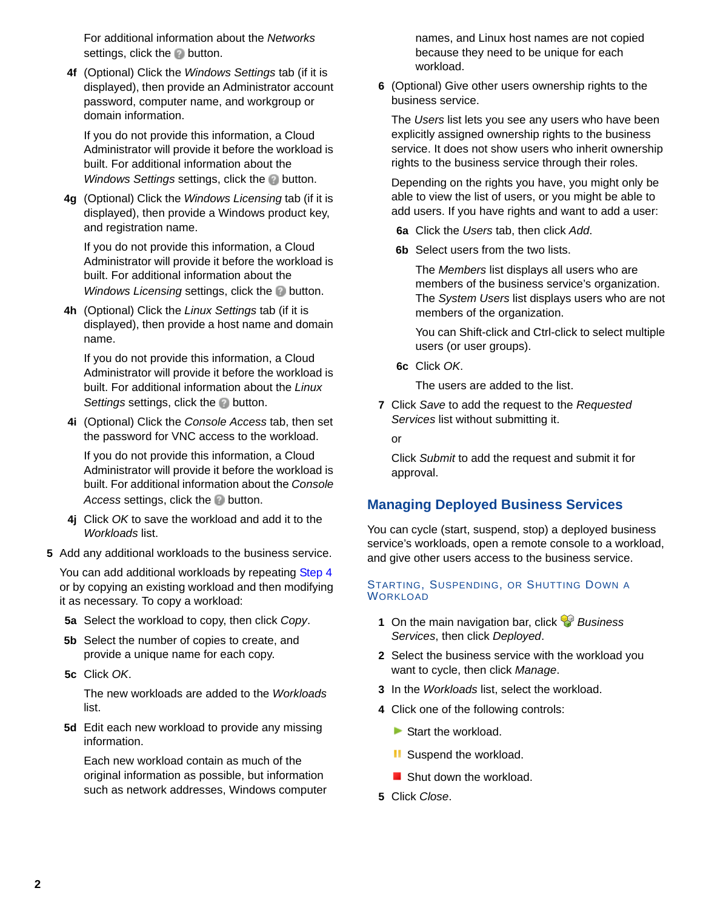For additional information about the *Networks* settings, click the **button**.

**4f** (Optional) Click the *Windows Settings* tab (if it is displayed), then provide an Administrator account password, computer name, and workgroup or domain information.

If you do not provide this information, a Cloud Administrator will provide it before the workload is built. For additional information about the *Windows Settings* settings, click the **button**.

**4g** (Optional) Click the *Windows Licensing* tab (if it is displayed), then provide a Windows product key, and registration name.

If you do not provide this information, a Cloud Administrator will provide it before the workload is built. For additional information about the *Windows Licensing* settings, click the **button**.

**4h** (Optional) Click the *Linux Settings* tab (if it is displayed), then provide a host name and domain name.

If you do not provide this information, a Cloud Administrator will provide it before the workload is built. For additional information about the *Linux Settings* settings, click the **button**.

**4i** (Optional) Click the *Console Access* tab, then set the password for VNC access to the workload.

If you do not provide this information, a Cloud Administrator will provide it before the workload is built. For additional information about the *Console*  Access settings, click the **button**.

- **4j** Click *OK* to save the workload and add it to the *Workloads* list.
- **5** Add any additional workloads to the business service.

You can add additional workloads by repeating [Step 4](#page-0-0) or by copying an existing workload and then modifying it as necessary. To copy a workload:

- **5a** Select the workload to copy, then click *Copy*.
- **5b** Select the number of copies to create, and provide a unique name for each copy.
- **5c** Click *OK*.

The new workloads are added to the *Workloads* list.

**5d** Edit each new workload to provide any missing information.

Each new workload contain as much of the original information as possible, but information such as network addresses, Windows computer names, and Linux host names are not copied because they need to be unique for each workload.

**6** (Optional) Give other users ownership rights to the business service.

The *Users* list lets you see any users who have been explicitly assigned ownership rights to the business service. It does not show users who inherit ownership rights to the business service through their roles.

Depending on the rights you have, you might only be able to view the list of users, or you might be able to add users. If you have rights and want to add a user:

**6a** Click the *Users* tab, then click *Add*.

**6b** Select users from the two lists.

The *Members* list displays all users who are members of the business service's organization. The *System Users* list displays users who are not members of the organization.

You can Shift-click and Ctrl-click to select multiple users (or user groups).

**6c** Click *OK*.

The users are added to the list.

**7** Click *Save* to add the request to the *Requested Services* list without submitting it.

or

Click *Submit* to add the request and submit it for approval.

# **Managing Deployed Business Services**

You can cycle (start, suspend, stop) a deployed business service's workloads, open a remote console to a workload, and give other users access to the business service.

#### STARTING, SUSPENDING, OR SHUTTING DOWN A WORKLOAD

- **1** On the main navigation bar, click *Business Services*, then click *Deployed*.
- **2** Select the business service with the workload you want to cycle, then click *Manage*.
- **3** In the *Workloads* list, select the workload.
- **4** Click one of the following controls:
	- Start the workload.
	- **II** Suspend the workload.
	- Shut down the workload.
- **5** Click *Close*.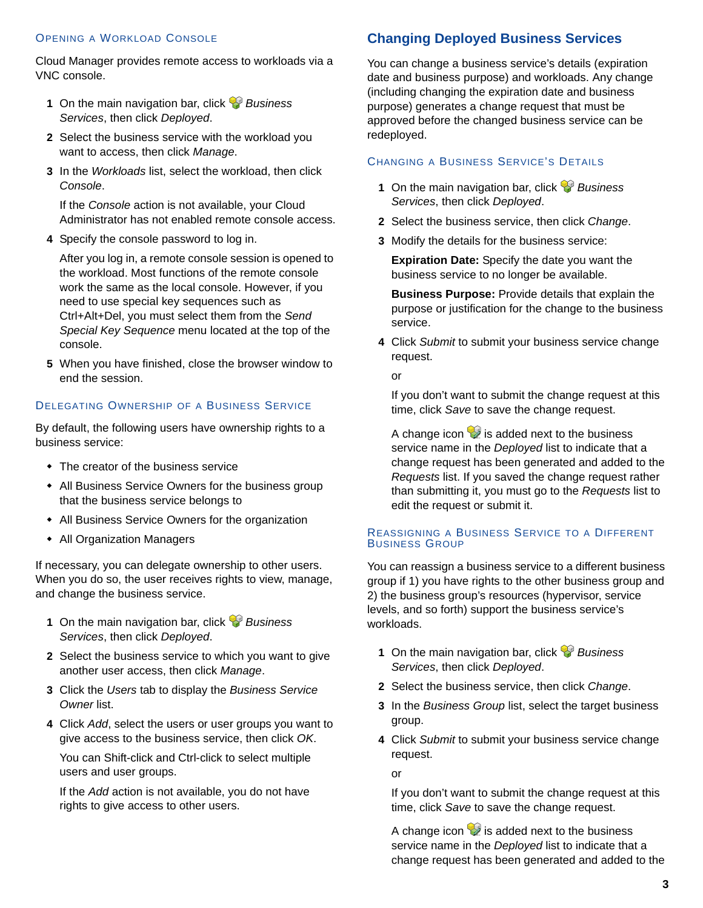### OPENING A WORKLOAD CONSOLE

Cloud Manager provides remote access to workloads via a VNC console.

- **1** On the main navigation bar, click *Business Services*, then click *Deployed*.
- **2** Select the business service with the workload you want to access, then click *Manage*.
- **3** In the *Workloads* list, select the workload, then click *Console*.

If the *Console* action is not available, your Cloud Administrator has not enabled remote console access.

**4** Specify the console password to log in.

After you log in, a remote console session is opened to the workload. Most functions of the remote console work the same as the local console. However, if you need to use special key sequences such as Ctrl+Alt+Del, you must select them from the *Send Special Key Sequence* menu located at the top of the console.

**5** When you have finished, close the browser window to end the session.

### DELEGATING OWNERSHIP OF A BUSINESS SERVICE

By default, the following users have ownership rights to a business service:

- The creator of the business service
- All Business Service Owners for the business group that the business service belongs to
- All Business Service Owners for the organization
- All Organization Managers

If necessary, you can delegate ownership to other users. When you do so, the user receives rights to view, manage, and change the business service.

- **1** On the main navigation bar, click *Business Services*, then click *Deployed*.
- **2** Select the business service to which you want to give another user access, then click *Manage*.
- **3** Click the *Users* tab to display the *Business Service Owner* list.
- **4** Click *Add*, select the users or user groups you want to give access to the business service, then click *OK*.

You can Shift-click and Ctrl-click to select multiple users and user groups.

If the *Add* action is not available, you do not have rights to give access to other users.

## **Changing Deployed Business Services**

You can change a business service's details (expiration date and business purpose) and workloads. Any change (including changing the expiration date and business purpose) generates a change request that must be approved before the changed business service can be redeployed.

### CHANGING A BUSINESS SERVICE'S DETAILS

- **1** On the main navigation bar, click *Business Services*, then click *Deployed*.
- **2** Select the business service, then click *Change*.
- **3** Modify the details for the business service:

**Expiration Date:** Specify the date you want the business service to no longer be available.

**Business Purpose:** Provide details that explain the purpose or justification for the change to the business service.

**4** Click *Submit* to submit your business service change request.

or

If you don't want to submit the change request at this time, click *Save* to save the change request.

A change icon  $\mathcal{D}$  is added next to the business service name in the *Deployed* list to indicate that a change request has been generated and added to the *Requests* list. If you saved the change request rather than submitting it, you must go to the *Requests* list to edit the request or submit it.

#### REASSIGNING A BUSINESS SERVICE TO A DIFFERENT BUSINESS GROUP

You can reassign a business service to a different business group if 1) you have rights to the other business group and 2) the business group's resources (hypervisor, service levels, and so forth) support the business service's workloads.

- **1** On the main navigation bar, click *Business Services*, then click *Deployed*.
- **2** Select the business service, then click *Change*.
- **3** In the *Business Group* list, select the target business group.
- **4** Click *Submit* to submit your business service change request.

or

If you don't want to submit the change request at this time, click *Save* to save the change request.

A change icon  $\mathcal{V}$  is added next to the business service name in the *Deployed* list to indicate that a change request has been generated and added to the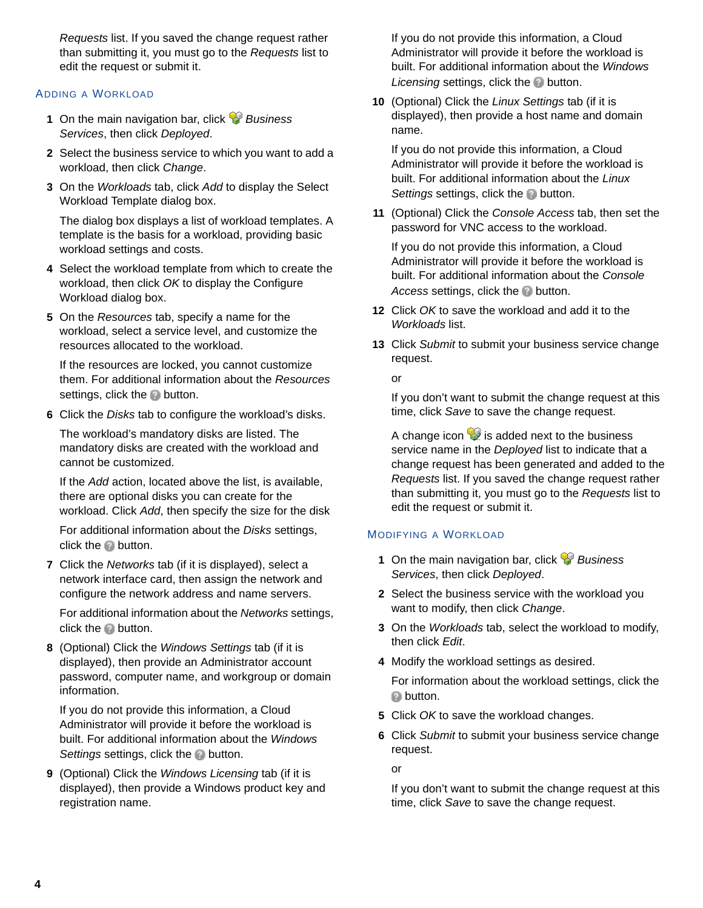*Requests* list. If you saved the change request rather than submitting it, you must go to the *Requests* list to edit the request or submit it.

### ADDING A WORKLOAD

- **1** On the main navigation bar, click *Business Services*, then click *Deployed*.
- **2** Select the business service to which you want to add a workload, then click *Change*.
- **3** On the *Workloads* tab, click *Add* to display the Select Workload Template dialog box.

The dialog box displays a list of workload templates. A template is the basis for a workload, providing basic workload settings and costs.

- **4** Select the workload template from which to create the workload, then click *OK* to display the Configure Workload dialog box.
- **5** On the *Resources* tab, specify a name for the workload, select a service level, and customize the resources allocated to the workload.

If the resources are locked, you cannot customize them. For additional information about the *Resources* settings, click the button.

**6** Click the *Disks* tab to configure the workload's disks.

The workload's mandatory disks are listed. The mandatory disks are created with the workload and cannot be customized.

If the *Add* action, located above the list, is available, there are optional disks you can create for the workload. Click *Add*, then specify the size for the disk

For additional information about the *Disks* settings, click the  $\bullet$  button.

**7** Click the *Networks* tab (if it is displayed), select a network interface card, then assign the network and configure the network address and name servers.

For additional information about the *Networks* settings, click the **p** button.

**8** (Optional) Click the *Windows Settings* tab (if it is displayed), then provide an Administrator account password, computer name, and workgroup or domain information.

If you do not provide this information, a Cloud Administrator will provide it before the workload is built. For additional information about the *Windows*  **Settings settings, click the button.** 

**9** (Optional) Click the *Windows Licensing* tab (if it is displayed), then provide a Windows product key and registration name.

If you do not provide this information, a Cloud Administrator will provide it before the workload is built. For additional information about the *Windows Licensing* settings, click the **button**.

**10** (Optional) Click the *Linux Settings* tab (if it is displayed), then provide a host name and domain name.

If you do not provide this information, a Cloud Administrator will provide it before the workload is built. For additional information about the *Linux*  **Settings settings, click the button.** 

**11** (Optional) Click the *Console Access* tab, then set the password for VNC access to the workload.

If you do not provide this information, a Cloud Administrator will provide it before the workload is built. For additional information about the *Console Access* settings, click the **button**.

- **12** Click *OK* to save the workload and add it to the *Workloads* list.
- **13** Click *Submit* to submit your business service change request.

or

If you don't want to submit the change request at this time, click *Save* to save the change request.

A change icon  $\mathcal{D}$  is added next to the business service name in the *Deployed* list to indicate that a change request has been generated and added to the *Requests* list. If you saved the change request rather than submitting it, you must go to the *Requests* list to edit the request or submit it.

### MODIFYING A WORKLOAD

- **1** On the main navigation bar, click *Business Services*, then click *Deployed*.
- **2** Select the business service with the workload you want to modify, then click *Change*.
- **3** On the *Workloads* tab, select the workload to modify, then click *Edit*.
- **4** Modify the workload settings as desired.

For information about the workload settings, click the **D** button.

- **5** Click *OK* to save the workload changes.
- **6** Click *Submit* to submit your business service change request.

or

If you don't want to submit the change request at this time, click *Save* to save the change request.